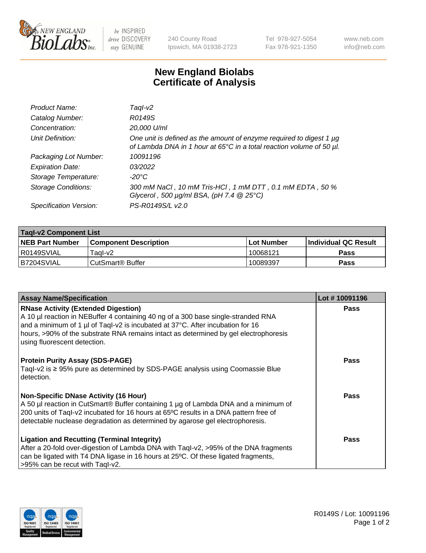

 $be$  INSPIRED drive DISCOVERY stay GENUINE

240 County Road Ipswich, MA 01938-2723 Tel 978-927-5054 Fax 978-921-1350 www.neb.com info@neb.com

## **New England Biolabs Certificate of Analysis**

| Product Name:              | Taql-v2                                                                                                                                                    |
|----------------------------|------------------------------------------------------------------------------------------------------------------------------------------------------------|
| Catalog Number:            | R0149S                                                                                                                                                     |
| Concentration:             | 20,000 U/ml                                                                                                                                                |
| Unit Definition:           | One unit is defined as the amount of enzyme required to digest 1 µg<br>of Lambda DNA in 1 hour at 65 $\degree$ C in a total reaction volume of 50 $\mu$ l. |
| Packaging Lot Number:      | 10091196                                                                                                                                                   |
| <b>Expiration Date:</b>    | 03/2022                                                                                                                                                    |
| Storage Temperature:       | -20°C                                                                                                                                                      |
| <b>Storage Conditions:</b> | 300 mM NaCl, 10 mM Tris-HCl, 1 mM DTT, 0.1 mM EDTA, 50 %<br>Glycerol, 500 $\mu$ g/ml BSA, (pH 7.4 $@$ 25°C)                                                |
| Specification Version:     | PS-R0149S/L v2.0                                                                                                                                           |

| <b>Tagl-v2 Component List</b> |                              |             |                             |  |  |
|-------------------------------|------------------------------|-------------|-----------------------------|--|--|
| <b>NEB Part Number</b>        | <b>Component Description</b> | ⊺Lot Number | <b>Individual QC Result</b> |  |  |
| I R0149SVIAL                  | Tagl-v2                      | 10068121    | Pass                        |  |  |
| IB7204SVIAL                   | CutSmart <sup>®</sup> Buffer | 10089397    | <b>Pass</b>                 |  |  |

| <b>Assay Name/Specification</b>                                                                                                                                                                                                                                                                                                           | Lot #10091196 |
|-------------------------------------------------------------------------------------------------------------------------------------------------------------------------------------------------------------------------------------------------------------------------------------------------------------------------------------------|---------------|
| <b>RNase Activity (Extended Digestion)</b><br>A 10 µl reaction in NEBuffer 4 containing 40 ng of a 300 base single-stranded RNA<br>and a minimum of 1 µl of Taql-v2 is incubated at 37°C. After incubation for 16<br>hours, >90% of the substrate RNA remains intact as determined by gel electrophoresis<br>using fluorescent detection. | Pass          |
| <b>Protein Purity Assay (SDS-PAGE)</b><br>Taql-v2 is $\geq$ 95% pure as determined by SDS-PAGE analysis using Coomassie Blue<br>detection.                                                                                                                                                                                                | <b>Pass</b>   |
| Non-Specific DNase Activity (16 Hour)<br>A 50 µl reaction in CutSmart® Buffer containing 1 µg of Lambda DNA and a minimum of<br>200 units of Taql-v2 incubated for 16 hours at 65°C results in a DNA pattern free of<br>detectable nuclease degradation as determined by agarose gel electrophoresis.                                     | Pass          |
| <b>Ligation and Recutting (Terminal Integrity)</b><br>After a 20-fold over-digestion of Lambda DNA with Taql-v2, >95% of the DNA fragments<br>can be ligated with T4 DNA ligase in 16 hours at 25°C. Of these ligated fragments,<br>>95% can be recut with Taql-v2.                                                                       | Pass          |